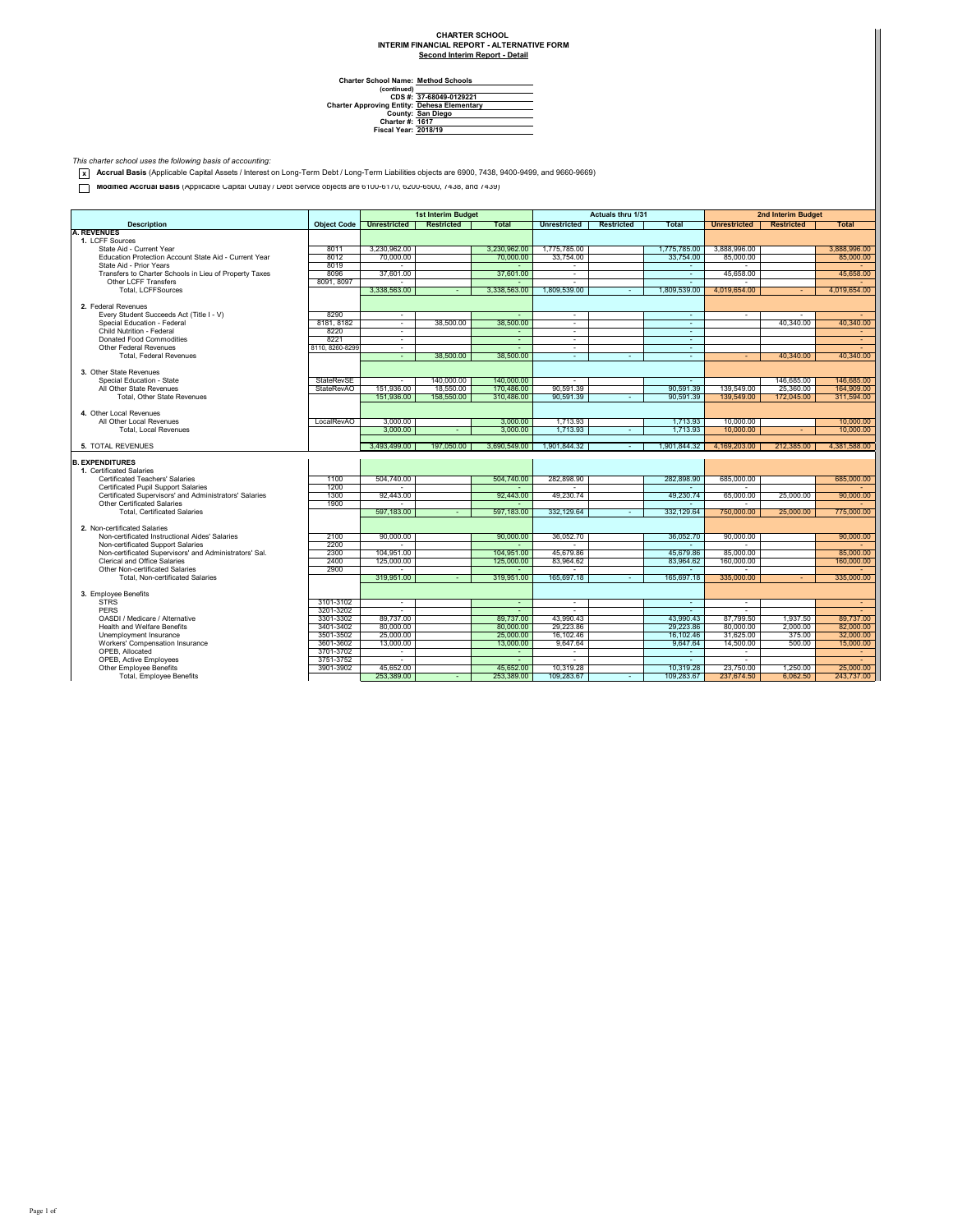## **Second Interim Report - Detail CHARTER SCHOOL INTERIM FINANCIAL REPORT - ALTERNATIVE FORM**

**Charter School Name: Method Schools (continued) CDS #: Charter Approving Entity: County: Charter #: Fiscal Year: Dehesa Elementary San Diego 1617 2018/19 37-68049-0129221**

*This charter school uses the following basis of accounting:* **x Accrual Basis** (Applicable Capital Assets / Interest on Long-Term Debt / Long-Term Liabilities objects are 6900, 7438, 9400-9499, and 9660-9669)

Modified Accrual Basis (Applicable Capital Outlay / Debt Service objects are 6100-6170, 6200-6500, 7438, and 7439)

|                                                           |                        |                        | <b>1st Interim Budget</b> |                        |                        | Actuals thru 1/31 |                |                        | 2nd Interim Budget |                        |
|-----------------------------------------------------------|------------------------|------------------------|---------------------------|------------------------|------------------------|-------------------|----------------|------------------------|--------------------|------------------------|
| <b>Description</b>                                        | <b>Object Code</b>     | Unrestricted           | <b>Restricted</b>         | <b>Total</b>           | <b>Unrestricted</b>    | <b>Restricted</b> | Total          | <b>Unrestricted</b>    | <b>Restricted</b>  | <b>Total</b>           |
| <b>A. REVENUES</b>                                        |                        |                        |                           |                        |                        |                   |                |                        |                    |                        |
| 1. I CFF Sources                                          |                        |                        |                           |                        |                        |                   |                |                        |                    |                        |
| State Aid - Current Year                                  | 8011                   | 3.230.962.00           |                           | 3.230.962.00           | 1,775,785.00           |                   | 1,775,785.00   | 3.888.996.00           |                    | 3.888.996.00           |
| Education Protection Account State Aid - Current Year     | 8012                   | 70,000.00              |                           | 70,000.00              | 33,754.00              |                   | 33,754.00      | 85,000.00              |                    | 85,000.00              |
| State Aid - Prior Years                                   | 8019                   |                        |                           |                        | ٠                      |                   |                |                        |                    |                        |
| Transfers to Charter Schools in Lieu of Property Taxes    | 8096                   | 37,601.00              |                           | 37.601.00              | $\sim$                 |                   | ×.             | 45.658.00              |                    | 45.658.00              |
| Other I CFF Transfers                                     | 8091, 8097             | $\sim$                 |                           |                        | $\mathbf{r}$           |                   | ×              |                        |                    |                        |
| <b>Total, LCFFSources</b>                                 |                        | 3.338.563.00           |                           | 3.338.563.00           | 1.809.539.00           |                   | 1.809.539.00   | 4.019.654.00           | ÷                  | 4.019.654.00           |
|                                                           |                        |                        |                           |                        |                        |                   |                |                        |                    |                        |
| 2. Federal Revenues                                       |                        |                        |                           |                        |                        |                   |                |                        |                    |                        |
| Every Student Succeeds Act (Title I - V)                  | 8290                   | $\sim$                 |                           |                        | $\sim$                 |                   | $\sim$         | ٠                      | ٠                  |                        |
| Special Education - Federal                               | 8181, 8182             | $\sim$                 | 38,500.00                 | 38,500.00              | ÷.                     |                   | ÷              |                        | 40.340.00          | 40.340.00              |
| Child Nutrition - Federal                                 | 8220                   | $\sim$                 |                           | ×                      | $\sim$                 |                   | ×.             |                        |                    | $\sim$                 |
| <b>Donated Food Commodities</b><br>Other Federal Revenues | 8221                   | $\sim$                 |                           | $\sim$                 | $\sim$                 |                   | ÷              |                        |                    | ×.                     |
|                                                           | 8110, 8260-8299        | $\sim$                 |                           | 38,500.00              | $\sim$                 |                   | ×.             |                        |                    | 40.340.00              |
| <b>Total, Federal Revenues</b>                            |                        | $\sim$                 | 38,500.00                 |                        | $\sim$                 | $\sim$            | $\sim$         | $\sim$                 | 40.340.00          |                        |
| 3. Other State Revenues                                   |                        |                        |                           |                        |                        |                   |                |                        |                    |                        |
| Special Education - State                                 | <b>StateRevSE</b>      | $\mathbf{r}$           | 140.000.00                | 140.000.00             | ×.                     |                   | ÷.             |                        | 146.685.00         | 146.685.00             |
| All Other State Revenues                                  | <b>StateRevAO</b>      | 151,936.00             | 18,550.00                 | 170,486.00             | 90.591.39              |                   | 90.591.39      | 139,549.00             | 25,360.00          | 164,909.00             |
| Total, Other State Revenues                               |                        | 151.936.00             | 158,550.00                | 310.486.00             | 90.591.39              |                   | 90.591.39      | 139.549.00             | 172.045.00         | 311.594.00             |
|                                                           |                        |                        |                           |                        |                        |                   |                |                        |                    |                        |
| 4. Other Local Revenues                                   |                        |                        |                           |                        |                        |                   |                |                        |                    |                        |
| All Other Local Revenues                                  | LocalRevAO             | 3.000.00               |                           | 3,000.00               | 1.713.93               |                   | 1,713.93       | 10.000.00              |                    | 10.000.00              |
| <b>Total, Local Revenues</b>                              |                        | 3,000.00               |                           | 3.000.00               | 1.713.93               |                   | 1.713.93       | 10.000.00              |                    | 10.000.00              |
|                                                           |                        |                        |                           |                        |                        |                   |                |                        |                    |                        |
| <b>5. TOTAL REVENUES</b>                                  |                        | 3.493.499.00           | 197.050.00                | 3,690,549.00           | 1.901.844.32           |                   | 1.901.844.32   | 4.169.203.00           | 212.385.00         | 4.381.588.00           |
|                                                           |                        |                        |                           |                        |                        |                   |                |                        |                    |                        |
| <b>B. EXPENDITURES</b>                                    |                        |                        |                           |                        |                        |                   |                |                        |                    |                        |
| 1. Certificated Salaries                                  |                        |                        |                           |                        |                        |                   |                |                        |                    |                        |
| Certificated Teachers' Salaries                           | 1100                   | 504.740.00             |                           | 504.740.00             | 282,898.90             |                   | 282,898.90     | 685,000.00             |                    | 685,000.00             |
| Certificated Pupil Support Salaries                       | 1200                   | i.                     |                           |                        |                        |                   |                |                        |                    |                        |
| Certificated Supervisors' and Administrators' Salaries    | 1300                   | 92,443.00              |                           | 92,443.00              | 49.230.74              |                   | 49,230.74      | 65.000.00              | 25,000.00          | 90,000.00              |
| Other Certificated Salaries                               | 1900                   |                        |                           |                        |                        |                   |                |                        |                    |                        |
| <b>Total, Certificated Salaries</b>                       |                        | 597.183.00             |                           | 597.183.00             | 332.129.64             |                   | 332.129.64     | 750.000.00             | 25.000.00          | 775,000.00             |
|                                                           |                        |                        |                           |                        |                        |                   |                |                        |                    |                        |
| 2. Non-certificated Salaries                              |                        |                        |                           |                        |                        |                   |                |                        |                    |                        |
| Non-certificated Instructional Aides' Salaries            | 2100                   | 90,000.00              |                           | 90,000,00              | 36 052 70              |                   | 36.052.70      | 90.000.00              |                    | 90,000.00              |
| Non-certificated Support Salaries                         | 2200                   | $\sim$                 |                           | $\sim$                 | $\mathbf{r}$           |                   | ÷.             | $\sim$                 |                    |                        |
| Non-certificated Supervisors' and Administrators' Sal.    | 2300                   | 104.951.00             |                           | 104.951.00             | 45.679.86              |                   | 45.679.86      | 85,000,00              |                    | 85,000.00              |
| Clerical and Office Salaries                              | 2400                   | 125,000.00             |                           | 125,000.00             | 83.964.62              |                   | 83.964.62      | 160,000.00             |                    | 160,000.00             |
| Other Non-certificated Salaries                           | 2900                   |                        |                           |                        | $\sim$                 |                   |                | $\sim$                 |                    |                        |
| Total, Non-certificated Salaries                          |                        | 319,951.00             |                           | 319.951.00             | 165,697.18             |                   | 165,697.18     | 335,000.00             |                    | 335,000.00             |
|                                                           |                        |                        |                           |                        |                        |                   |                |                        |                    |                        |
| 3. Employee Benefits<br><b>STRS</b>                       |                        |                        |                           |                        |                        |                   |                |                        |                    |                        |
| <b>PFRS</b>                                               | 3101-3102              | $\sim$                 |                           | $\sim$                 | $\mathbf{r}$           |                   | ÷.             | $\sim$                 |                    | $\sim$                 |
| OASDI / Medicare / Alternative                            | 3201-3202              | ÷                      |                           | $\sim$                 | $\sim$                 |                   | ÷              | ٠                      |                    | $\sim$                 |
|                                                           | 3301-3302              | 89,737.00              |                           | 89.737.00              | 43.990.43              |                   | 43.990.43      | 87,799.50              | 1.937.50           | 89,737.00              |
| <b>Health and Welfare Benefits</b>                        | 3401-3402<br>3501-3502 | 80,000.00<br>25,000.00 |                           | 80,000,00<br>25,000.00 | 29.223.86<br>16.102.46 |                   | 29.223.86      | 80,000.00<br>31.625.00 | 2,000.00<br>375.00 | 82,000.00<br>32,000.00 |
| Unemployment Insurance                                    |                        | 13,000.00              |                           |                        | 9.647.64               |                   | 16.102.46      |                        | 500.00             | 15,000.00              |
| Workers' Compensation Insurance<br>OPEB. Allocated        | 3601-3602<br>3701-3702 | $\sim$                 |                           | 13.000.00<br>$\sim$    | $\mathbf{r}$           |                   | 9.647.64<br>÷. | 14.500.00<br>$\sim$    |                    | <b>A</b>               |
| <b>OPEB.</b> Active Employees                             | 3751-3752              |                        |                           |                        | s.                     |                   | ÷              |                        |                    |                        |
| <b>Other Employee Benefits</b>                            | 3901-3902              | 45.652.00              |                           | 45.652.00              | 10.319.28              |                   | 10.319.28      | 23.750.00              | 1.250.00           | 25,000.00              |
| <b>Total, Employee Benefits</b>                           |                        | 253,389.00             |                           | 253.389.00             | 109.283.67             |                   | 109.283.67     | 237.674.50             | 6.062.50           | 243.737.00             |
|                                                           |                        |                        |                           |                        |                        |                   |                |                        |                    |                        |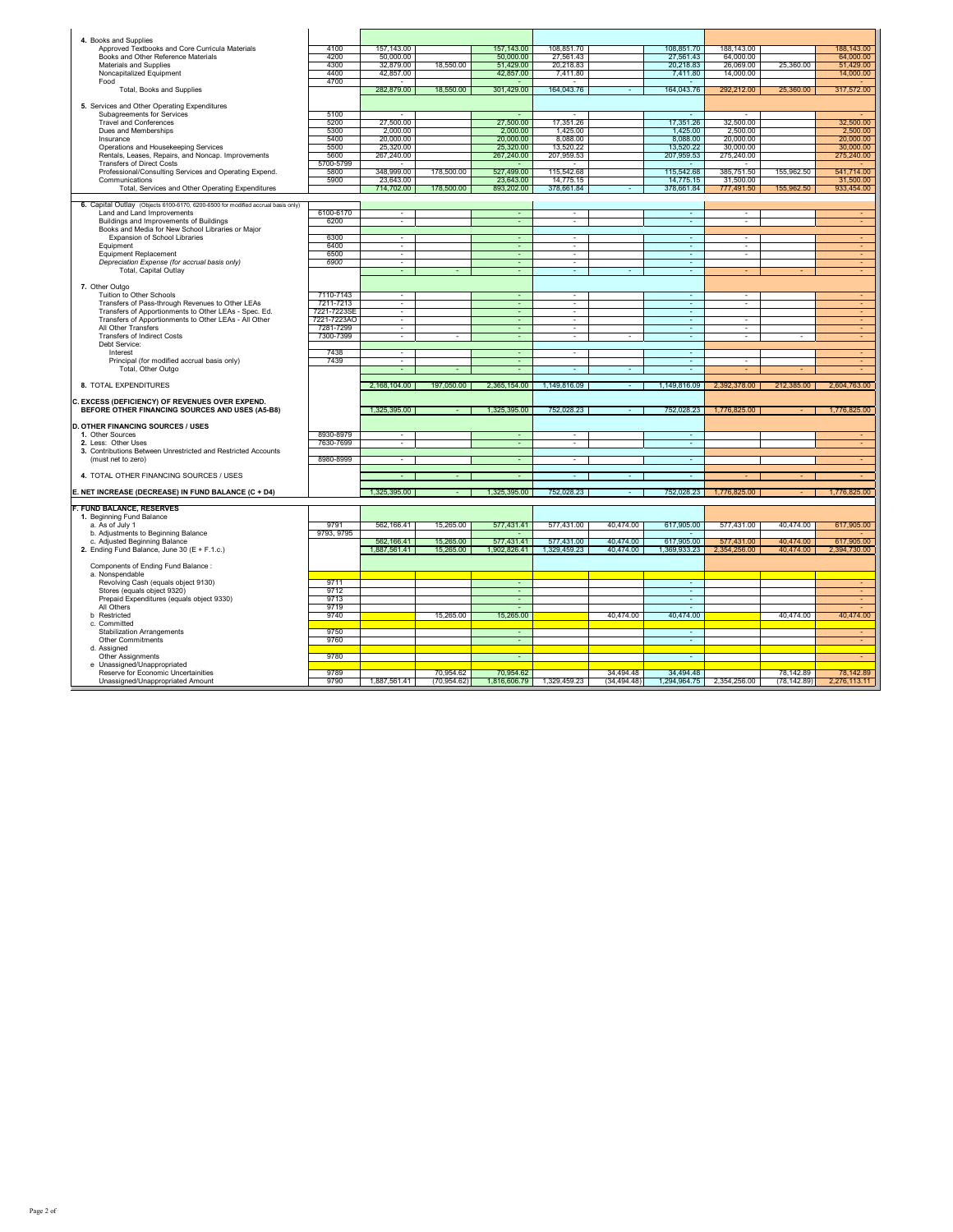| 4. Books and Supplies                                                            |              |                          |                           |                           |                                    |                           |                           |                          |                           |                           |
|----------------------------------------------------------------------------------|--------------|--------------------------|---------------------------|---------------------------|------------------------------------|---------------------------|---------------------------|--------------------------|---------------------------|---------------------------|
| Approved Textbooks and Core Curricula Materials                                  | 4100         | 157,143.00               |                           | 157, 143.00               | 108,851.70                         |                           | 108,851.70                | 188,143.00               |                           | 188,143.00                |
| Books and Other Reference Materials                                              | 4200         | 50,000.00                |                           | 50,000.00                 | 27,561.43                          |                           | 27,561.43                 | 64,000.00                |                           | 64,000.00                 |
| Materials and Supplies                                                           | 4300         | 32,879.00                | 18,550.00                 | 51,429.00                 | 20,218.83                          |                           | 20,218.83                 | 26,069.00                | 25,360.00                 | 51,429.00                 |
| Noncapitalized Equipment                                                         | 4400         | 42,857.00                |                           | 42,857.00                 | 7,411.80                           |                           | 7,411.80                  | 14,000.00                |                           | 14,000.00                 |
| Food                                                                             | 4700         |                          |                           |                           |                                    |                           |                           |                          |                           |                           |
| Total, Books and Supplies                                                        |              | 282,879.00               | 18,550.00                 | 301,429.00                | 164,043.76                         |                           | 164,043.76                | 292,212.00               | 25,360.00                 | 317,572.00                |
|                                                                                  |              |                          |                           |                           |                                    |                           |                           |                          |                           |                           |
| 5. Services and Other Operating Expenditures                                     | 5100         |                          |                           |                           |                                    |                           |                           |                          |                           |                           |
| Subagreements for Services<br><b>Travel and Conferences</b>                      | 5200         | 27,500.00                |                           | 27,500.00                 | 17,351.26                          |                           | 17,351.26                 | 32,500.00                |                           | 32,500.00                 |
| Dues and Memberships                                                             | 5300         | 2,000.00                 |                           | 2,000.00                  | 1,425.00                           |                           | 1,425.00                  | 2,500.00                 |                           | 2,500.00                  |
| Insurance                                                                        | 5400         | 20,000.00                |                           | 20,000.00                 | 8,088.00                           |                           | 8,088.00                  | 20,000.00                |                           | 20,000.00                 |
| Operations and Housekeeping Services                                             | 5500         | 25,320.00                |                           | 25,320.00                 | 13,520.22                          |                           | 13,520.22                 | 30,000.00                |                           | 30,000.00                 |
| Rentals, Leases, Repairs, and Noncap. Improvements                               | 5600         | 267,240.00               |                           | 267,240.00                | 207,959.53                         |                           | 207,959.53                | 275,240.00               |                           | 275,240.00                |
| <b>Transfers of Direct Costs</b>                                                 | 5700-5799    |                          |                           |                           |                                    |                           |                           |                          |                           |                           |
| Professional/Consulting Services and Operating Expend.                           | 5800         | 348,999.00               | 178,500.00                | 527,499.00                | 115.542.68                         |                           | 115.542.68                | 385,751.50               | 155,962.50                | 541,714.00                |
| Communications                                                                   | 5900         | 23,643.00                |                           | 23,643.00                 | 14,775.15                          |                           | 14,775.15                 | 31,500.00                |                           | 31,500.00                 |
| Total, Services and Other Operating Expenditures                                 |              | 714,702.00               | 178,500.00                | 893,202.00                | 378,661.84                         | $\sim$                    | 378,661.84                | 777,491.50               | 155,962.50                | 933,454.00                |
|                                                                                  |              |                          |                           |                           |                                    |                           |                           |                          |                           |                           |
| 6. Capital Outlay (Objects 6100-6170, 6200-6500 for modified accrual basis only) |              |                          |                           |                           |                                    |                           |                           |                          |                           |                           |
| Land and Land Improvements                                                       | 6100-6170    | $\sim$                   |                           | $\sim$                    | $\sim$                             |                           | ×                         | $\sim$                   |                           |                           |
| Buildings and Improvements of Buildings                                          | 6200         | τ                        |                           | τ                         | τ                                  |                           | τ                         | τ                        |                           | ÷                         |
| Books and Media for New School Libraries or Major                                |              |                          |                           |                           |                                    |                           |                           |                          |                           |                           |
| Expansion of School Libraries<br>Equipment                                       | 6300         | $\overline{\phantom{a}}$ |                           |                           | $\overline{\phantom{a}}$           |                           | ÷                         | $\overline{\phantom{a}}$ |                           |                           |
| Equipment Replacement                                                            | 6400<br>6500 | $\sim$<br>٠              |                           | ٠                         | $\overline{\phantom{a}}$           |                           | ٠<br>÷                    | ٠<br>٠                   |                           | ٠                         |
| Depreciation Expense (for accrual basis only)                                    | 6900         | $\sim$                   |                           |                           | $\overline{\phantom{a}}$<br>$\sim$ |                           | ÷.                        |                          |                           |                           |
| Total, Capital Outlay                                                            |              | $\sim$                   |                           | $\sim$                    | $\sim$                             | $\mathbf{r}$              | $\sim$                    | ÷                        |                           | $\sim$                    |
|                                                                                  |              |                          |                           |                           |                                    |                           |                           |                          |                           |                           |
| 7. Other Outgo                                                                   |              |                          |                           |                           |                                    |                           |                           |                          |                           |                           |
| Tuition to Other Schools                                                         | 7110-7143    | $\sim$                   |                           | $\sim$                    | $\sim$                             |                           | $\sim$                    | $\overline{\phantom{a}}$ |                           |                           |
| Transfers of Pass-through Revenues to Other LEAs                                 | 7211-7213    | $\sim$                   |                           | $\sim$                    | $\sim$                             |                           | $\sim$                    | $\sim$                   |                           | $\sim$                    |
| Transfers of Apportionments to Other LEAs - Spec. Ed.                            | 7221-7223SE  | $\overline{\phantom{a}}$ |                           |                           | $\overline{\phantom{a}}$           |                           | ٠                         |                          |                           | $\sim$                    |
| Transfers of Apportionments to Other LEAs - All Other                            | 7221-7223AO  |                          |                           |                           |                                    |                           |                           |                          |                           |                           |
| All Other Transfers                                                              | 7281-7299    | ٠                        |                           |                           |                                    |                           | ÷                         |                          |                           |                           |
| <b>Transfers of Indirect Costs</b>                                               | 7300-7399    | $\sim$                   |                           |                           | $\sim$                             |                           | ×.                        | ÷.                       |                           | $\sim$                    |
| Debt Service:                                                                    |              |                          |                           |                           |                                    |                           |                           |                          |                           |                           |
|                                                                                  |              |                          |                           |                           |                                    |                           |                           |                          |                           | $\sim$                    |
| Interest                                                                         | 7438         | $\overline{\phantom{a}}$ |                           |                           | $\sim$                             |                           | ×,                        |                          |                           |                           |
| Principal (for modified accrual basis only)                                      | 7439         | $\overline{\phantom{a}}$ |                           | ٠                         |                                    |                           | $\sim$                    | ٠                        |                           | $\sim$                    |
| Total, Other Outgo                                                               |              |                          |                           |                           |                                    |                           | ×,                        |                          |                           |                           |
|                                                                                  |              |                          |                           |                           |                                    |                           |                           |                          |                           |                           |
| 8. TOTAL EXPENDITURES                                                            |              | 2,168,104.00             | 197,050.00                | 2,365,154.00              | 1,149,816.09                       |                           | 1,149,816.09              | 2,392,378.00             | 212,385.00                | 2,604,763.00              |
|                                                                                  |              |                          |                           |                           |                                    |                           |                           |                          |                           |                           |
| C. EXCESS (DEFICIENCY) OF REVENUES OVER EXPEND.                                  |              |                          |                           |                           |                                    |                           |                           |                          |                           |                           |
| BEFORE OTHER FINANCING SOURCES AND USES (A5-B8)                                  |              | 1,325,395.00             |                           | 1,325,395.00              | 752,028.23                         |                           | 752,028.23                | 1,776,825.00             |                           | 1,776,825.00              |
| <b>D. OTHER FINANCING SOURCES / USES</b>                                         |              |                          |                           |                           |                                    |                           |                           |                          |                           |                           |
| 1. Other Sources                                                                 | 8930-8979    |                          |                           |                           |                                    |                           | ٠                         |                          |                           |                           |
| 2. Less: Other Uses                                                              | 7630-7699    |                          |                           |                           |                                    |                           |                           |                          |                           |                           |
| 3. Contributions Between Unrestricted and Restricted Accounts                    |              |                          |                           |                           |                                    |                           |                           |                          |                           |                           |
| (must net to zero)                                                               | 8980-8999    | τ                        |                           | ÷.                        | Τ                                  |                           | ÷                         |                          |                           | ×.                        |
|                                                                                  |              |                          |                           |                           |                                    |                           |                           |                          |                           |                           |
| 4. TOTAL OTHER FINANCING SOURCES / USES                                          |              |                          |                           |                           |                                    |                           |                           |                          |                           |                           |
|                                                                                  |              |                          |                           |                           |                                    |                           |                           |                          |                           |                           |
| E. NET INCREASE (DECREASE) IN FUND BALANCE (C + D4)                              |              | 1,325,395.00             |                           | 1,325,395.00              | 752,028.23                         |                           | 752,028.23                | 1,776,825.00             |                           | 1,776,825.00              |
|                                                                                  |              |                          |                           |                           |                                    |                           |                           |                          |                           |                           |
| <b>F. FUND BALANCE, RESERVES</b>                                                 |              |                          |                           |                           |                                    |                           |                           |                          |                           |                           |
| 1. Beginning Fund Balance<br>a. As of July 1                                     | 9791         | 562.166.41               | 15.265.00                 | 577.431.41                | 577.431.00                         | 40.474.00                 | 617,905.00                | 577.431.00               | 40.474.00                 |                           |
| b. Adjustments to Beginning Balance                                              | 9793, 9795   |                          |                           |                           |                                    |                           |                           |                          |                           | 617,905.00                |
| c. Adjusted Beginning Balance                                                    |              | 562,166.41               | 15,265.00                 | 577,431.41                |                                    | 40.474.00                 | 617,905.00                | 577,431.00               | 40.474.00                 | 617,905.00                |
| 2. Ending Fund Balance, June 30 (E + F.1.c.)                                     |              | 1.887.561.41             | 15.265.00                 | 1.902.826.41              | 577,431.00<br>1.329.459.23         | 40.474.00                 | 1.369.933.23              | 2,354,256.00             | 40.474.00                 | 2,394,730.00              |
|                                                                                  |              |                          |                           |                           |                                    |                           |                           |                          |                           |                           |
| Components of Ending Fund Balance:                                               |              |                          |                           |                           |                                    |                           |                           |                          |                           |                           |
| a. Nonspendable                                                                  |              |                          |                           |                           |                                    |                           |                           |                          |                           |                           |
| Revolving Cash (equals object 9130)                                              | 9711         |                          |                           | ÷                         |                                    |                           | ÷                         |                          |                           | ÷                         |
| Stores (equals object 9320)                                                      | 9712         |                          |                           | $\sim$                    |                                    |                           | $\sim$                    |                          |                           | ×                         |
| Prepaid Expenditures (equals object 9330)                                        | 9713         |                          |                           | ÷                         |                                    |                           | $\sim$                    |                          |                           | $\sim$                    |
| All Others                                                                       | 9719         |                          |                           | $\sim$                    |                                    |                           | $\sim$                    |                          |                           |                           |
| b Restricted                                                                     | 9740         |                          | 15.265.00                 | 15,265.00                 |                                    | 40.474.00                 | 40.474.00                 |                          | 40.474.00                 | 40.474.00                 |
| c. Committed                                                                     |              |                          |                           | $\sim$                    |                                    |                           | $\sim$                    |                          |                           | $\sim$                    |
| <b>Stabilization Arrangements</b><br>Other Commitments                           | 9750<br>9760 |                          |                           | ÷.                        |                                    |                           | τ                         |                          |                           | $\sim$                    |
| d. Assigned                                                                      |              |                          |                           |                           |                                    |                           |                           |                          |                           |                           |
| Other Assignments                                                                | 9780         |                          |                           | $\sim$                    |                                    |                           | $\sim$                    |                          |                           |                           |
| e Unassigned/Unappropriated                                                      |              |                          |                           |                           |                                    |                           |                           |                          |                           |                           |
| Reserve for Economic Uncertainities<br>Unassigned/Unappropriated Amount          | 9789<br>9790 | 1,887,561.41             | 70.954.62<br>(70, 954.62) | 70.954.62<br>1,816,606.79 | 1,329,459.23                       | 34.494.48<br>(34, 494.48) | 34.494.48<br>1,294,964.75 | 2,354,256.00             | 78.142.89<br>(78, 142.89) | 78.142.89<br>2,276,113.11 |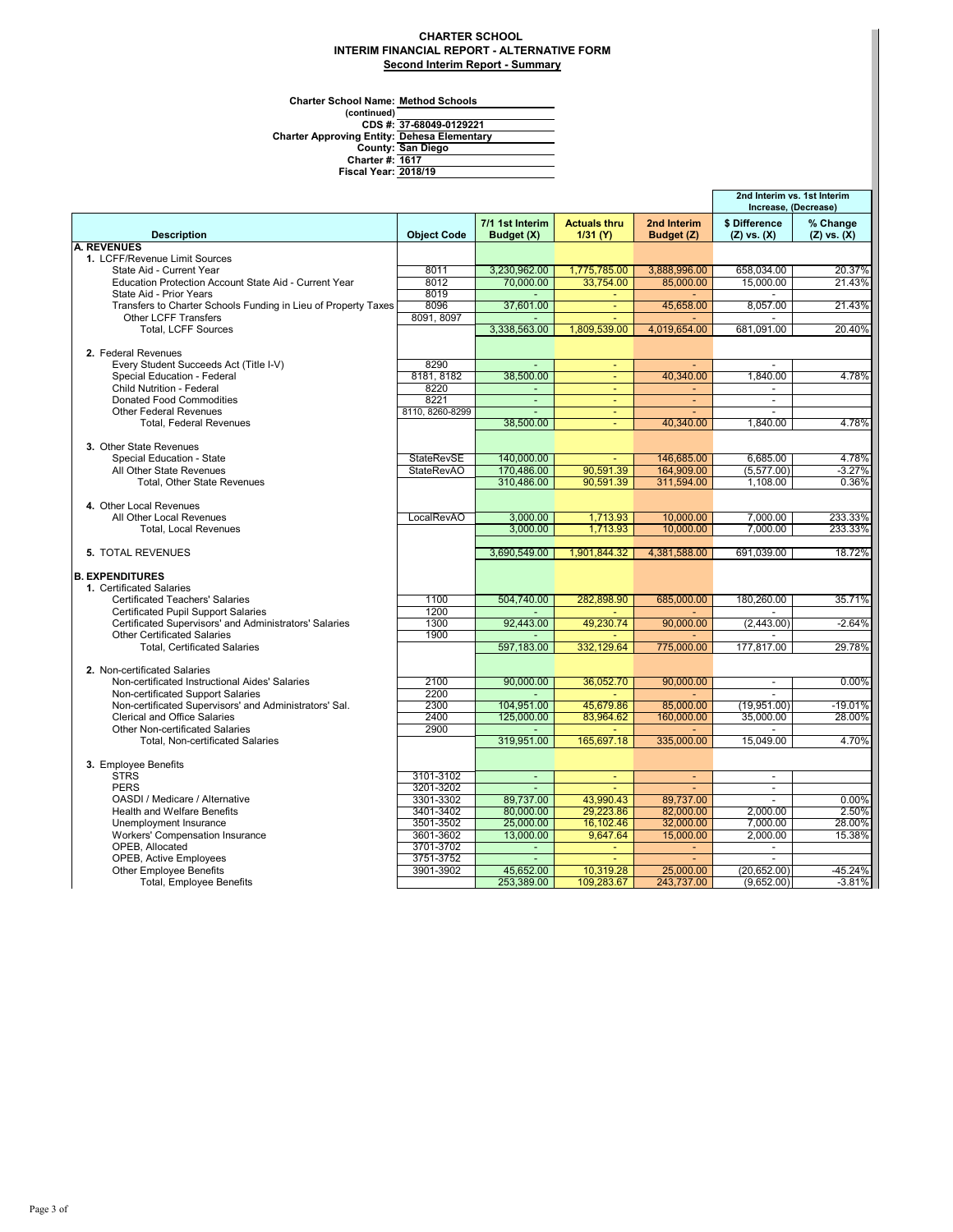## **CHARTER SCHOOL INTERIM FINANCIAL REPORT - ALTERNATIVE FORM Second Interim Report - Summary**

**Charter School Name: Method Schools**

**(continued) 1617 2018/19** CDS #: 37-68049-0129221<br>Charter Approving Entity: Dehesa Elementary<br>County: San Diego<br>Charter #: <u>1617</u><br>Fiscal Year: 2018/19 **37-68049-0129221 San Diego**

|                                                                                |                    |                               |                                 |                           | 2nd Interim vs. 1st Interim<br>Increase, (Decrease) |                             |
|--------------------------------------------------------------------------------|--------------------|-------------------------------|---------------------------------|---------------------------|-----------------------------------------------------|-----------------------------|
| <b>Description</b>                                                             | <b>Object Code</b> | 7/1 1st Interim<br>Budget (X) | <b>Actuals thru</b><br>1/31 (Y) | 2nd Interim<br>Budget (Z) | \$ Difference<br>$(Z)$ vs. $(X)$                    | % Change<br>$(Z)$ vs. $(X)$ |
| <b>A. REVENUES</b>                                                             |                    |                               |                                 |                           |                                                     |                             |
| 1. LCFF/Revenue Limit Sources                                                  |                    |                               |                                 |                           |                                                     |                             |
| State Aid - Current Year                                                       | 8011               | 3,230,962.00                  | 1,775,785.00                    | 3,888,996.00              | 658,034.00                                          | 20.37%                      |
| Education Protection Account State Aid - Current Year                          | 8012               | 70,000.00                     | 33,754.00                       | 85,000.00                 | 15,000.00                                           | 21.43%                      |
| State Aid - Prior Years                                                        | 8019               |                               |                                 |                           |                                                     |                             |
| Transfers to Charter Schools Funding in Lieu of Property Taxes                 | 8096               | 37.601.00                     | $\omega$                        | 45.658.00                 | 8.057.00                                            | 21.43%                      |
| <b>Other LCFF Transfers</b>                                                    | 8091, 8097         |                               |                                 |                           |                                                     |                             |
| Total, LCFF Sources                                                            |                    | 3,338,563.00                  | 1,809,539.00                    | 4,019,654.00              | 681,091.00                                          | 20.40%                      |
| 2. Federal Revenues                                                            |                    |                               |                                 |                           |                                                     |                             |
| Every Student Succeeds Act (Title I-V)                                         | 8290               |                               |                                 |                           |                                                     |                             |
| Special Education - Federal                                                    | 8181, 8182         | 38,500.00                     | $\equiv$                        | 40,340.00                 | 1,840.00                                            | 4.78%                       |
| Child Nutrition - Federal                                                      | 8220               | $\blacksquare$                | ÷,                              | Ξ                         |                                                     |                             |
| <b>Donated Food Commodities</b>                                                | 8221               | $\blacksquare$                | $\blacksquare$                  | $\sim$                    | $\overline{\phantom{a}}$                            |                             |
| <b>Other Federal Revenues</b>                                                  | 8110, 8260-8299    | $\sim$                        | ÷                               |                           |                                                     |                             |
| <b>Total. Federal Revenues</b>                                                 |                    | 38,500.00                     | ÷                               | 40.340.00                 | 1,840.00                                            | 4.78%                       |
|                                                                                |                    |                               |                                 |                           |                                                     |                             |
| 3. Other State Revenues                                                        |                    |                               |                                 |                           |                                                     |                             |
| Special Education - State                                                      | StateRevSE         | 140,000.00                    |                                 | 146,685.00                | 6,685.00                                            | 4.78%                       |
| All Other State Revenues                                                       | <b>StateRevAO</b>  | 170,486.00                    | 90,591.39                       | 164,909.00                | (5,577.00)                                          | $-3.27%$                    |
| Total, Other State Revenues                                                    |                    | 310,486.00                    | 90,591.39                       | 311,594.00                | 1,108.00                                            | 0.36%                       |
|                                                                                |                    |                               |                                 |                           |                                                     |                             |
| 4. Other Local Revenues                                                        |                    |                               |                                 |                           |                                                     |                             |
| All Other Local Revenues                                                       | LocalRevAO         | 3,000.00                      | 1,713.93                        | 10,000.00                 | 7,000.00                                            | 233.33%                     |
| <b>Total, Local Revenues</b>                                                   |                    | 3,000.00                      | 1,713.93                        | 10,000.00                 | 7,000.00                                            | 233.33%                     |
| <b>5. TOTAL REVENUES</b>                                                       |                    | 3,690,549.00                  | 1,901,844.32                    | 4,381,588.00              | 691,039.00                                          | 18.72%                      |
| <b>B. EXPENDITURES</b>                                                         |                    |                               |                                 |                           |                                                     |                             |
| 1. Certificated Salaries                                                       |                    |                               |                                 |                           |                                                     |                             |
| <b>Certificated Teachers' Salaries</b>                                         | 1100               | 504,740.00                    | 282,898.90                      | 685,000.00                | 180,260.00                                          | 35.71%                      |
| <b>Certificated Pupil Support Salaries</b>                                     | 1200               |                               |                                 |                           |                                                     |                             |
| Certificated Supervisors' and Administrators' Salaries                         | 1300               | 92,443.00                     | 49,230.74                       | 90.000.00                 | (2,443.00)                                          | $-2.64%$                    |
| <b>Other Certificated Salaries</b>                                             | 1900               | ÷.                            | ÷                               | ÷                         | $\overline{\phantom{a}}$                            |                             |
| <b>Total, Certificated Salaries</b>                                            |                    | 597,183.00                    | 332,129.64                      | 775,000.00                | 177,817.00                                          | 29.78%                      |
|                                                                                |                    |                               |                                 |                           |                                                     |                             |
| 2. Non-certificated Salaries<br>Non-certificated Instructional Aides' Salaries | 2100               | 90,000.00                     | 36,052.70                       | 90,000.00                 |                                                     | 0.00%                       |
| Non-certificated Support Salaries                                              | 2200               |                               |                                 |                           | $\overline{\phantom{a}}$                            |                             |
| Non-certificated Supervisors' and Administrators' Sal.                         | 2300               | 104,951.00                    | 45,679.86                       | 85,000.00                 | (19,951.00)                                         | $-19.01%$                   |
| <b>Clerical and Office Salaries</b>                                            | 2400               | 125,000.00                    | 83,964.62                       | 160,000.00                | 35,000.00                                           | 28.00%                      |
| <b>Other Non-certificated Salaries</b>                                         | 2900               |                               |                                 |                           | $\sim$                                              |                             |
| Total, Non-certificated Salaries                                               |                    | 319,951.00                    | 165,697.18                      | 335.000.00                | 15.049.00                                           | 4.70%                       |
|                                                                                |                    |                               |                                 |                           |                                                     |                             |
| 3. Employee Benefits                                                           |                    |                               |                                 |                           |                                                     |                             |
| <b>STRS</b>                                                                    | 3101-3102          | $\blacksquare$                | $\blacksquare$                  | $\sim$                    | $\overline{\phantom{a}}$                            |                             |
| <b>PERS</b>                                                                    | 3201-3202          |                               |                                 |                           | $\overline{a}$                                      |                             |
| OASDI / Medicare / Alternative                                                 | 3301-3302          | 89,737.00                     | 43,990.43                       | 89,737.00                 |                                                     | 0.00%                       |
| <b>Health and Welfare Benefits</b>                                             | 3401-3402          | 80,000.00                     | 29,223.86                       | 82,000.00                 | 2.000.00                                            | 2.50%                       |
| Unemployment Insurance                                                         | 3501-3502          | 25,000.00                     | 16,102.46                       | 32,000.00                 | 7.000.00                                            | 28.00%                      |
| Workers' Compensation Insurance                                                | 3601-3602          | 13,000.00                     | 9,647.64                        | 15,000.00                 | 2,000.00                                            | 15.38%                      |
| OPEB, Allocated                                                                | 3701-3702          | $\mathcal{L}_{\mathcal{A}}$   | $\blacksquare$                  | $\sim$                    | $\overline{\phantom{a}}$                            |                             |
| <b>OPEB, Active Employees</b>                                                  | 3751-3752          | ÷.                            |                                 |                           |                                                     |                             |
|                                                                                |                    |                               |                                 |                           |                                                     |                             |
| <b>Other Employee Benefits</b><br><b>Total, Employee Benefits</b>              | 3901-3902          | 45,652.00<br>253,389.00       | 10,319.28<br>109,283.67         | 25,000.00<br>243,737.00   | (20, 652.00)<br>(9,652.00)                          | $-45.24%$<br>$-3.81%$       |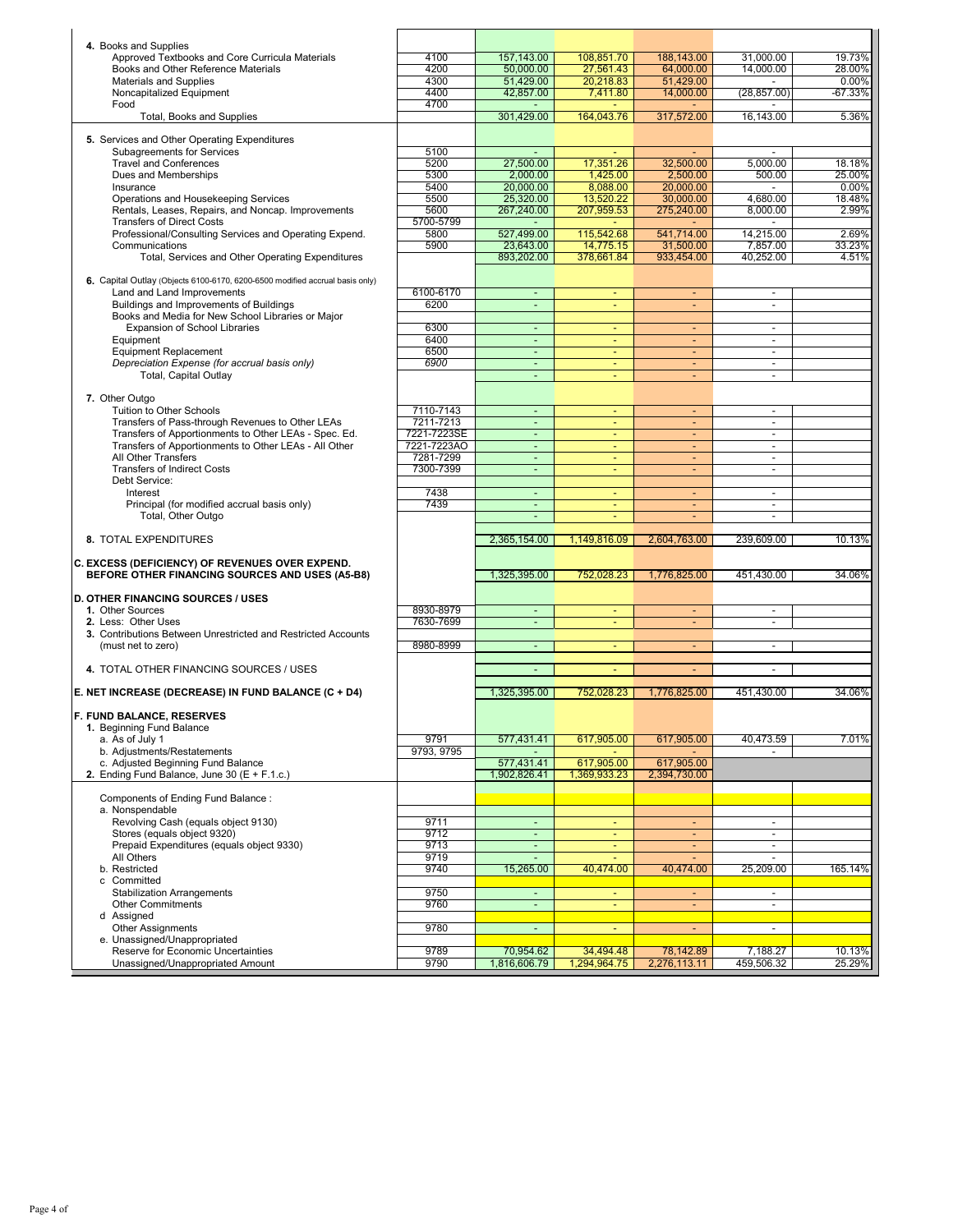| 4. Books and Supplies                                                                                     |                          |                                    |                         |                          |                                            |                       |
|-----------------------------------------------------------------------------------------------------------|--------------------------|------------------------------------|-------------------------|--------------------------|--------------------------------------------|-----------------------|
| Approved Textbooks and Core Curricula Materials                                                           | 4100                     | 157,143.00                         | 108.851.70              | 188,143.00               | 31,000.00                                  | 19.73%                |
| Books and Other Reference Materials                                                                       | 4200                     | 50,000.00                          | 27,561.43               | 64.000.00                | 14,000.00                                  | 28.00%                |
| <b>Materials and Supplies</b><br>Noncapitalized Equipment                                                 | 4300<br>4400             | 51.429.00<br>42,857.00             | 20,218.83<br>7,411.80   | 51,429.00<br>14,000.00   | $\sim$<br>(28, 857.00)                     | $0.00\%$<br>$-67.33%$ |
| Food                                                                                                      | 4700                     | $\sim$                             |                         |                          | $\sim$                                     |                       |
| Total, Books and Supplies                                                                                 |                          | 301.429.00                         | 164,043.76              | 317,572.00               | 16.143.00                                  | 5.36%                 |
| 5. Services and Other Operating Expenditures                                                              |                          |                                    |                         |                          |                                            |                       |
| <b>Subagreements for Services</b>                                                                         | 5100                     | ÷.                                 |                         |                          |                                            |                       |
| <b>Travel and Conferences</b>                                                                             | 5200                     | 27,500.00                          | 17,351.26               | 32,500.00                | 5,000.00                                   | 18.18%                |
| Dues and Memberships<br>Insurance                                                                         | 5300<br>5400             | 2,000.00<br>20,000.00              | 1,425.00<br>8,088.00    | 2,500.00<br>20.000.00    | 500.00                                     | 25.00%<br>0.00%       |
| Operations and Housekeeping Services                                                                      | 5500                     | 25,320.00                          | 13,520.22               | 30.000.00                | 4,680.00                                   | 18.48%                |
| Rentals, Leases, Repairs, and Noncap. Improvements                                                        | 5600                     | 267,240.00                         | 207,959.53              | 275,240.00               | 8,000.00                                   | 2.99%                 |
| <b>Transfers of Direct Costs</b><br>Professional/Consulting Services and Operating Expend.                | 5700-5799                |                                    |                         |                          | 14.215.00                                  |                       |
| Communications                                                                                            | 5800<br>5900             | 527,499.00<br>23,643.00            | 115,542.68<br>14,775.15 | 541,714.00<br>31,500.00  | 7,857.00                                   | 2.69%<br>33.23%       |
| Total, Services and Other Operating Expenditures                                                          |                          | 893,202.00                         | 378,661.84              | 933,454.00               | 40,252.00                                  | 4.51%                 |
| 6. Capital Outlay (Objects 6100-6170, 6200-6500 modified accrual basis only)                              |                          |                                    |                         |                          |                                            |                       |
| Land and Land Improvements                                                                                | 6100-6170                | $\blacksquare$                     | $\blacksquare$          | $\blacksquare$           | $\overline{\phantom{a}}$                   |                       |
| Buildings and Improvements of Buildings                                                                   | 6200                     | $\omega$                           | ÷                       | ÷.                       | $\overline{\phantom{a}}$                   |                       |
| Books and Media for New School Libraries or Major                                                         |                          |                                    |                         |                          |                                            |                       |
| Expansion of School Libraries<br>Equipment                                                                | 6300<br>6400             | ÷.<br>$\blacksquare$               | ÷<br>٠                  | ÷.<br>÷                  | $\sim$<br>$\overline{\phantom{a}}$         |                       |
| <b>Equipment Replacement</b>                                                                              | 6500                     | $\omega$                           | ÷                       | ÷.                       | $\sim$                                     |                       |
| Depreciation Expense (for accrual basis only)                                                             | 6900                     | $\blacksquare$                     |                         |                          | $\blacksquare$                             |                       |
| Total, Capital Outlay                                                                                     |                          | $\omega$                           |                         | ÷.                       | $\blacksquare$                             |                       |
| 7. Other Outgo                                                                                            |                          |                                    |                         |                          |                                            |                       |
| Tuition to Other Schools                                                                                  | 7110-7143                | ٠                                  |                         | ٠                        | $\blacksquare$                             |                       |
| Transfers of Pass-through Revenues to Other LEAs<br>Transfers of Apportionments to Other LEAs - Spec. Ed. | 7211-7213<br>7221-7223SE | ÷.<br>÷.                           | ÷<br>٠                  | ÷<br>٠                   | $\blacksquare$<br>$\overline{\phantom{a}}$ |                       |
| Transfers of Apportionments to Other LEAs - All Other                                                     | 7221-7223AO              | $\omega$                           | ٠                       | $\overline{\phantom{a}}$ | $\sim$                                     |                       |
| All Other Transfers                                                                                       | 7281-7299                | $\blacksquare$                     | ٠                       | ٠                        | $\overline{\phantom{a}}$                   |                       |
| <b>Transfers of Indirect Costs</b>                                                                        | 7300-7399                | $\omega$                           | ÷                       | ÷                        | $\sim$                                     |                       |
| Debt Service:<br>Interest                                                                                 | 7438                     | $\omega$                           | $\sim$                  | $\overline{\phantom{a}}$ | $\sim$                                     |                       |
|                                                                                                           |                          |                                    |                         |                          |                                            |                       |
| Principal (for modified accrual basis only)                                                               | 7439                     | $\blacksquare$                     | $\blacksquare$          | $\blacksquare$           | $\overline{\phantom{a}}$                   |                       |
| Total, Other Outgo                                                                                        |                          | Ξ                                  | u                       | ÷                        | $\blacksquare$                             |                       |
| 8. TOTAL EXPENDITURES                                                                                     |                          |                                    |                         |                          |                                            | 10.13%                |
|                                                                                                           |                          | 2,365,154.00                       | 1,149,816.09            | 2,604,763.00             | 239,609.00                                 |                       |
| C. EXCESS (DEFICIENCY) OF REVENUES OVER EXPEND.                                                           |                          |                                    |                         |                          |                                            |                       |
| BEFORE OTHER FINANCING SOURCES AND USES (A5-B8)                                                           |                          | 1,325,395.00                       | 752,028.23              | 1,776,825.00             | 451,430.00                                 | 34.06%                |
| <b>D. OTHER FINANCING SOURCES / USES</b>                                                                  |                          |                                    |                         |                          |                                            |                       |
| 1. Other Sources                                                                                          | 8930-8979                | $\blacksquare$                     | ٠                       | ÷.                       | $\overline{\phantom{a}}$                   |                       |
| 2. Less: Other Uses<br>3. Contributions Between Unrestricted and Restricted Accounts                      | 7630-7699                | $\blacksquare$                     | ÷                       | ÷.                       | $\sim$                                     |                       |
| (must net to zero)                                                                                        | 8980-8999                | ÷.                                 | ÷,                      | ÷.                       | $\overline{\phantom{a}}$                   |                       |
|                                                                                                           |                          |                                    | ÷                       | ÷                        |                                            |                       |
| 4. TOTAL OTHER FINANCING SOURCES / USES                                                                   |                          | $\sim$                             |                         |                          | $\sim$                                     |                       |
| E. NET INCREASE (DECREASE) IN FUND BALANCE (C + D4)                                                       |                          | 1,325,395.00                       | 752,028.23              | 1,776,825.00             | 451,430.00                                 | 34.06%                |
|                                                                                                           |                          |                                    |                         |                          |                                            |                       |
| 1. Beginning Fund Balance                                                                                 |                          |                                    |                         |                          |                                            |                       |
| F. FUND BALANCE, RESERVES<br>a. As of July 1                                                              | 9791                     | 577,431.41                         | 617,905.00              | 617,905.00               | 40,473.59                                  | 7.01%                 |
| b. Adjustments/Restatements<br>c. Adjusted Beginning Fund Balance                                         | 9793, 9795               | 577,431.41                         | 617,905.00              | 617,905.00               |                                            |                       |
| 2. Ending Fund Balance, June 30 ( $E + F.1.c.$ )                                                          |                          | 1,902,826.41                       | 1,369,933.23            | 2,394,730.00             |                                            |                       |
|                                                                                                           |                          |                                    |                         |                          |                                            |                       |
| Components of Ending Fund Balance:<br>a. Nonspendable                                                     |                          |                                    |                         |                          |                                            |                       |
| Revolving Cash (equals object 9130)                                                                       | 9711                     | $\blacksquare$                     | $\blacksquare$          | ٠                        | $\overline{\phantom{a}}$                   |                       |
| Stores (equals object 9320)                                                                               | 9712                     | ÷,                                 | $\blacksquare$          | Ξ                        | $\overline{\phantom{a}}$                   |                       |
| Prepaid Expenditures (equals object 9330)<br>All Others                                                   | 9713<br>9719             | $\blacksquare$                     | $\omega$                | $\blacksquare$           | $\overline{\phantom{a}}$                   |                       |
| b. Restricted                                                                                             | 9740                     | 15,265.00                          | 40,474.00               | 40,474.00                | 25,209.00                                  | 165.14%               |
| c Committed                                                                                               |                          |                                    |                         |                          |                                            |                       |
| <b>Stabilization Arrangements</b><br><b>Other Commitments</b>                                             | 9750<br>9760             | $\omega_{\rm c}$<br>$\blacksquare$ | $\sim$                  | $\Delta \phi$            | $\sim$<br>$\blacksquare$                   |                       |
| d Assigned                                                                                                |                          |                                    |                         |                          |                                            |                       |
| <b>Other Assignments</b>                                                                                  | 9780                     | $\mathcal{L}_{\mathcal{A}}$        | $\blacksquare$          | ÷                        | $\overline{\phantom{a}}$                   |                       |
| e. Unassigned/Unappropriated<br>Reserve for Economic Uncertainties                                        | 9789                     | 70,954.62                          | 34,494.48               | 78,142.89                | 7,188.27                                   | 10.13%                |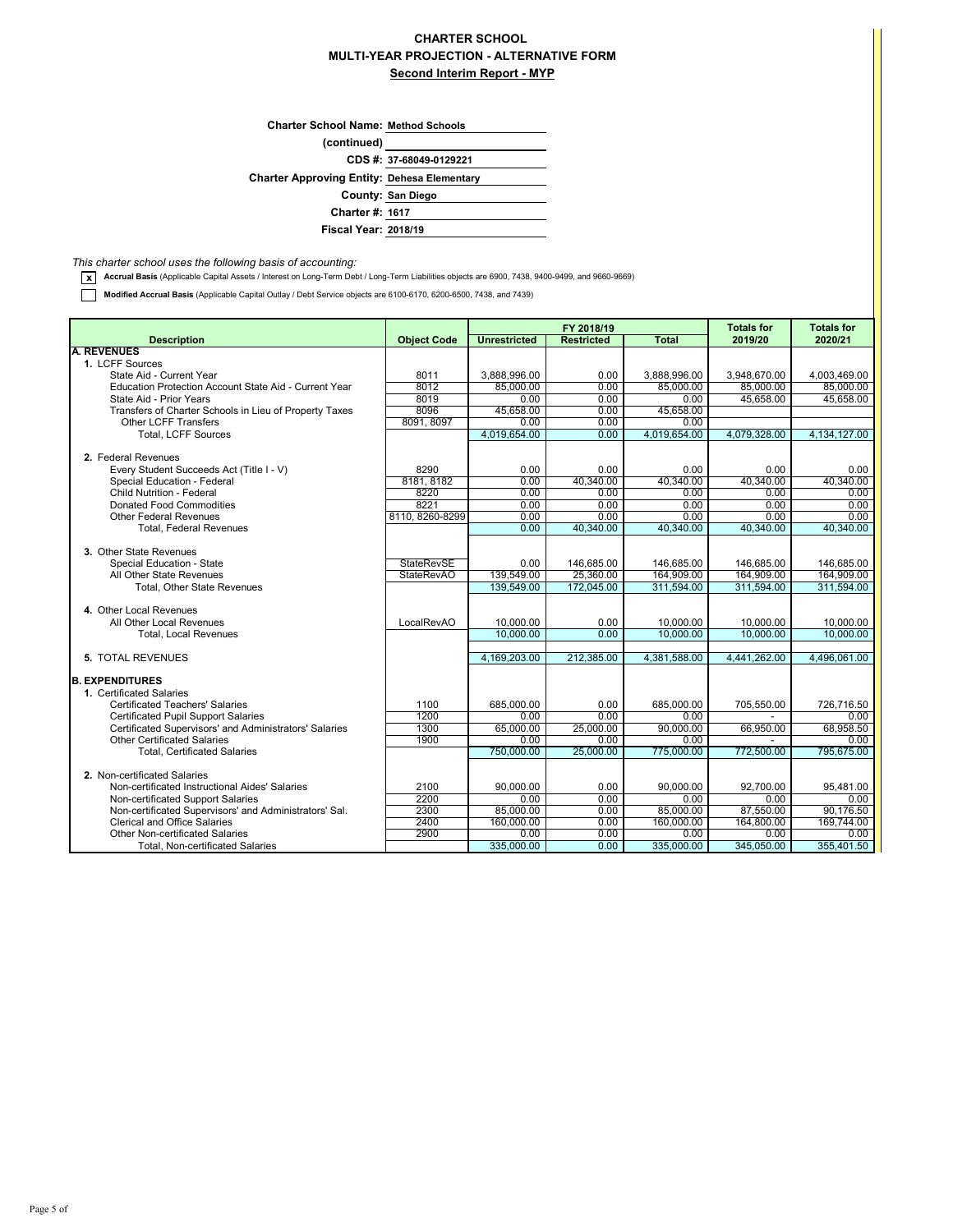## **MULTI-YEAR PROJECTION - ALTERNATIVE FORM Second Interim Report - MYP CHARTER SCHOOL**

| <b>Charter School Name: Method Schools</b>         |                         |
|----------------------------------------------------|-------------------------|
| (continued)                                        |                         |
|                                                    | CDS #: 37-68049-0129221 |
| <b>Charter Approving Entity: Dehesa Elementary</b> |                         |
|                                                    | County: San Diego       |
| <b>Charter #: 1617</b>                             |                         |
| <b>Fiscal Year: 2018/19</b>                        |                         |

*This charter school uses the following basis of accounting:*

**x** Accrual Basis (Applicable Capital Assets / Interest on Long-Term Debt / Long-Term Liabilities objects are 6900, 7438, 9400-9499, and 9660-9669)

**Modified Accrual Basis** (Applicable Capital Outlay / Debt Service objects are 6100-6170, 6200-6500, 7438, and 7439)

|                                                        |                    |                     | FY 2018/19        |              | <b>Totals for</b> | <b>Totals for</b> |
|--------------------------------------------------------|--------------------|---------------------|-------------------|--------------|-------------------|-------------------|
| <b>Description</b>                                     | <b>Object Code</b> | <b>Unrestricted</b> | <b>Restricted</b> | <b>Total</b> | 2019/20           | 2020/21           |
| <b>A. REVENUES</b>                                     |                    |                     |                   |              |                   |                   |
| 1. LCFF Sources                                        |                    |                     |                   |              |                   |                   |
| State Aid - Current Year                               | 8011               | 3,888,996.00        | 0.00              | 3,888,996.00 | 3,948,670.00      | 4,003,469.00      |
| Education Protection Account State Aid - Current Year  | 8012               | 85.000.00           | 0.00              | 85,000.00    | 85.000.00         | 85,000.00         |
| State Aid - Prior Years                                | 8019               | 0.00                | 0.00              | 0.00         | 45,658.00         | 45,658.00         |
| Transfers of Charter Schools in Lieu of Property Taxes | 8096               | 45,658.00           | 0.00              | 45,658.00    |                   |                   |
| <b>Other LCFF Transfers</b>                            | 8091, 8097         | 0.00                | 0.00              | 0.00         |                   |                   |
| <b>Total. LCFF Sources</b>                             |                    | 4.019.654.00        | 0.00              | 4.019.654.00 | 4.079.328.00      | 4,134,127.00      |
| 2. Federal Revenues                                    |                    |                     |                   |              |                   |                   |
| Every Student Succeeds Act (Title I - V)               | 8290               | 0.00                | 0.00              | 0.00         | 0.00              | 0.00              |
| Special Education - Federal                            | 8181, 8182         | 0.00                | 40,340.00         | 40.340.00    | 40,340.00         | 40.340.00         |
| Child Nutrition - Federal                              | 8220               | 0.00                | 0.00              | 0.00         | 0.00              | 0.00              |
| <b>Donated Food Commodities</b>                        | 8221               | 0.00                | 0.00              | 0.00         | 0.00              | 0.00              |
| <b>Other Federal Revenues</b>                          | 8110, 8260-8299    | 0.00                | 0.00              | 0.00         | 0.00              | 0.00              |
| <b>Total, Federal Revenues</b>                         |                    | 0.00                | 40,340.00         | 40,340.00    | 40,340.00         | 40,340.00         |
|                                                        |                    |                     |                   |              |                   |                   |
| 3. Other State Revenues                                |                    |                     |                   |              |                   |                   |
| Special Education - State                              | <b>StateRevSE</b>  | 0.00                | 146,685.00        | 146,685.00   | 146,685.00        | 146,685.00        |
| All Other State Revenues                               | <b>StateRevAO</b>  | 139,549.00          | 25,360.00         | 164,909.00   | 164,909.00        | 164,909.00        |
| <b>Total. Other State Revenues</b>                     |                    | 139,549.00          | 172,045.00        | 311,594.00   | 311,594.00        | 311,594.00        |
|                                                        |                    |                     |                   |              |                   |                   |
| 4. Other Local Revenues                                |                    |                     |                   |              |                   |                   |
| All Other Local Revenues                               | LocalRevAO         | 10,000.00           | 0.00              | 10,000.00    | 10,000.00         | 10,000.00         |
| <b>Total, Local Revenues</b>                           |                    | 10,000.00           | 0.00              | 10,000.00    | 10,000.00         | 10,000.00         |
|                                                        |                    |                     |                   |              |                   |                   |
| <b>5. TOTAL REVENUES</b>                               |                    | 4.169.203.00        | 212.385.00        | 4,381,588.00 | 4.441.262.00      | 4,496,061.00      |
|                                                        |                    |                     |                   |              |                   |                   |
| <b>B. EXPENDITURES</b><br>1. Certificated Salaries     |                    |                     |                   |              |                   |                   |
| <b>Certificated Teachers' Salaries</b>                 | 1100               | 685.000.00          | 0.00              | 685.000.00   | 705,550.00        | 726,716.50        |
| Certificated Pupil Support Salaries                    | 1200               | 0.00                | 0.00              | 0.00         |                   | 0.00              |
| Certificated Supervisors' and Administrators' Salaries | 1300               | 65,000.00           | 25,000.00         | 90,000.00    | 66,950.00         | 68,958.50         |
| <b>Other Certificated Salaries</b>                     | 1900               | 0.00                | 0.00              | 0.00         |                   | 0.00              |
| <b>Total, Certificated Salaries</b>                    |                    | 750,000.00          | 25,000.00         | 775,000.00   | 772,500.00        | 795.675.00        |
|                                                        |                    |                     |                   |              |                   |                   |
| 2. Non-certificated Salaries                           |                    |                     |                   |              |                   |                   |
| Non-certificated Instructional Aides' Salaries         | 2100               | 90.000.00           | 0.00              | 90,000.00    | 92,700.00         | 95,481.00         |
| Non-certificated Support Salaries                      | 2200               | 0.00                | 0.00              | 0.00         | 0.00              | 0.00              |
| Non-certificated Supervisors' and Administrators' Sal. | 2300               | 85,000.00           | 0.00              | 85,000.00    | 87,550.00         | 90,176.50         |
| <b>Clerical and Office Salaries</b>                    | 2400               | 160,000.00          | 0.00              | 160,000.00   | 164,800.00        | 169,744.00        |
| Other Non-certificated Salaries                        | 2900               | 0.00                | 0.00              | 0.00         | 0.00              | 0.00              |
| Total, Non-certificated Salaries                       |                    | 335,000.00          | 0.00              | 335,000.00   | 345,050.00        | 355,401.50        |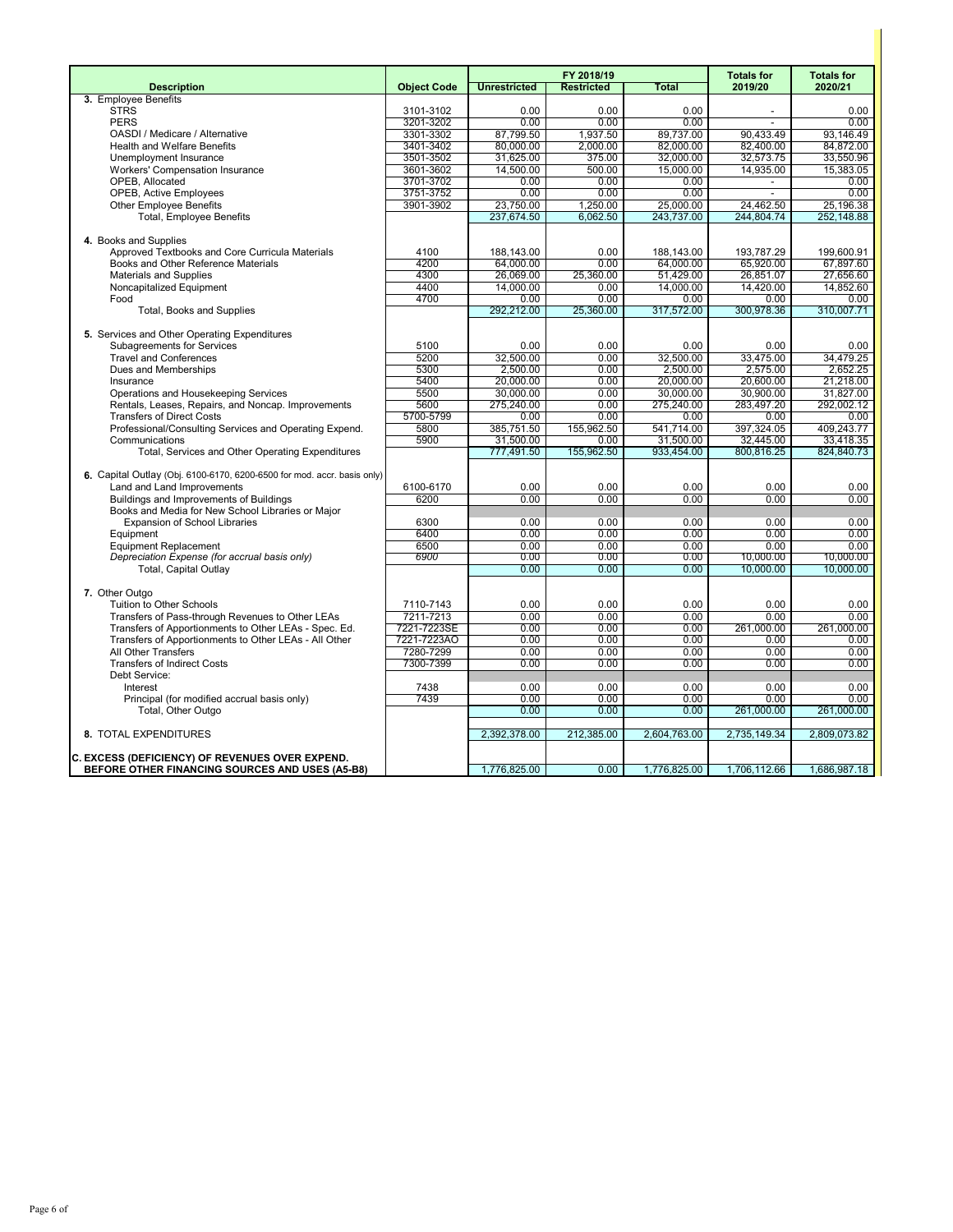|                                                                         |                    |                     | FY 2018/19        |                         | <b>Totals for</b>        | <b>Totals for</b>       |
|-------------------------------------------------------------------------|--------------------|---------------------|-------------------|-------------------------|--------------------------|-------------------------|
| <b>Description</b>                                                      | <b>Object Code</b> | <b>Unrestricted</b> | <b>Restricted</b> | <b>Total</b>            | 2019/20                  | 2020/21                 |
| 3. Employee Benefits                                                    |                    |                     |                   |                         |                          |                         |
| <b>STRS</b>                                                             | 3101-3102          | 0.00                | 0.00              | 0.00                    |                          | 0.00                    |
| <b>PERS</b>                                                             | 3201-3202          | 0.00                | 0.00              | 0.00                    | $\sim$                   | 0.00                    |
| OASDI / Medicare / Alternative                                          | 3301-3302          | 87,799.50           | 1,937.50          | 89,737.00               | 90,433.49                | 93,146.49               |
| <b>Health and Welfare Benefits</b>                                      | 3401-3402          | 80,000.00           | 2,000.00          | 82,000.00               | 82,400.00                | 84.872.00               |
| Unemployment Insurance                                                  | 3501-3502          | 31,625.00           | 375.00            | 32,000.00               | 32,573.75                | 33,550.96               |
| Workers' Compensation Insurance                                         | 3601-3602          | 14,500.00           | 500.00            | 15,000.00               | 14,935.00                | 15,383.05               |
| OPEB, Allocated                                                         | 3701-3702          | 0.00                | 0.00              | 0.00                    | $\overline{\phantom{a}}$ | 0.00                    |
| <b>OPEB, Active Employees</b>                                           | 3751-3752          | 0.00<br>23,750.00   | 0.00<br>1,250.00  | 0.00                    | 24,462.50                | 0.00                    |
| Other Employee Benefits<br><b>Total, Employee Benefits</b>              | 3901-3902          | 237,674.50          | 6.062.50          | 25,000.00<br>243,737.00 | 244.804.74               | 25,196.38<br>252.148.88 |
|                                                                         |                    |                     |                   |                         |                          |                         |
| 4. Books and Supplies                                                   |                    |                     |                   |                         |                          |                         |
| Approved Textbooks and Core Curricula Materials                         | 4100               | 188,143.00          | 0.00              | 188,143.00              | 193,787.29               | 199,600.91              |
| Books and Other Reference Materials                                     | 4200               | 64,000.00           | 0.00              | 64,000.00               | 65,920.00                | 67.897.60               |
| <b>Materials and Supplies</b>                                           | 4300               | 26,069.00           | 25,360.00         | 51,429.00               | 26,851.07                | 27,656.60               |
| Noncapitalized Equipment                                                | 4400               | 14,000.00           | 0.00              | 14,000.00               | 14,420.00                | 14,852.60               |
| Food                                                                    | 4700               | 0.00                | 0.00              | 0.00                    | 0.00                     | 0.00                    |
| Total, Books and Supplies                                               |                    | 292,212.00          | 25,360.00         | 317,572.00              | 300,978.36               | 310,007.71              |
|                                                                         |                    |                     |                   |                         |                          |                         |
| 5. Services and Other Operating Expenditures                            |                    |                     |                   |                         |                          |                         |
| <b>Subagreements for Services</b>                                       | 5100               | 0.00                | 0.00              | 0.00                    | 0.00                     | 0.00                    |
| <b>Travel and Conferences</b>                                           | 5200               | 32.500.00           | 0.00              | 32,500.00               | 33.475.00                | 34.479.25               |
| Dues and Memberships                                                    | 5300               | 2,500.00            | 0.00              | 2,500.00                | 2,575.00                 | 2,652.25                |
| Insurance                                                               | 5400               | 20.000.00           | 0.00              | 20.000.00               | 20.600.00                | 21.218.00               |
| Operations and Housekeeping Services                                    | 5500               | 30,000.00           | 0.00              | 30,000.00               | 30,900.00                | 31,827.00               |
| Rentals, Leases, Repairs, and Noncap. Improvements                      | 5600               | 275,240.00          | 0.00              | 275,240.00              | 283,497.20               | 292,002.12              |
| <b>Transfers of Direct Costs</b>                                        | 5700-5799          | 0.00                | 0.00              | 0.00                    | 0.00                     | 0.00                    |
| Professional/Consulting Services and Operating Expend.                  | 5800               | 385,751.50          | 155,962.50        | 541,714.00              | 397,324.05               | 409,243.77              |
| Communications                                                          | 5900               | 31,500.00           | 0.00              | 31,500.00               | 32,445.00                | 33,418.35               |
| Total, Services and Other Operating Expenditures                        |                    | 777,491.50          | 155,962.50        | 933,454.00              | 800,816.25               | 824,840.73              |
|                                                                         |                    |                     |                   |                         |                          |                         |
| 6. Capital Outlay (Obj. 6100-6170, 6200-6500 for mod. accr. basis only) |                    |                     |                   |                         |                          |                         |
| Land and Land Improvements                                              | 6100-6170          | 0.00                | 0.00              | 0.00                    | 0.00                     | 0.00                    |
| Buildings and Improvements of Buildings                                 | 6200               | 0.00                | 0.00              | 0.00                    | 0.00                     | 0.00                    |
| Books and Media for New School Libraries or Major                       |                    |                     |                   |                         |                          |                         |
| <b>Expansion of School Libraries</b>                                    | 6300<br>6400       | 0.00<br>0.00        | 0.00<br>0.00      | 0.00<br>0.00            | 0.00<br>0.00             | 0.00<br>0.00            |
| Equipment<br><b>Equipment Replacement</b>                               | 6500               | 0.00                | 0.00              | 0.00                    | 0.00                     | 0.00                    |
| Depreciation Expense (for accrual basis only)                           | 6900               | 0.00                | 0.00              | 0.00                    | 10.000.00                | 10.000.00               |
| <b>Total, Capital Outlay</b>                                            |                    | 0.00                | 0.00              | 0.00                    | 10,000.00                | 10,000.00               |
|                                                                         |                    |                     |                   |                         |                          |                         |
| 7. Other Outgo                                                          |                    |                     |                   |                         |                          |                         |
| Tuition to Other Schools                                                | 7110-7143          | 0.00                | 0.00              | 0.00                    | 0.00                     | 0.00                    |
| Transfers of Pass-through Revenues to Other LEAs                        | 7211-7213          | 0.00                | 0.00              | 0.00                    | 0.00                     | 0.00                    |
| Transfers of Apportionments to Other LEAs - Spec. Ed.                   | 7221-7223SE        | 0.00                | 0.00              | 0.00                    | 261,000.00               | 261,000.00              |
| Transfers of Apportionments to Other LEAs - All Other                   | 7221-7223AO        | 0.00                | 0.00              | 0.00                    | 0.00                     | 0.00                    |
| All Other Transfers                                                     | 7280-7299          | 0.00                | 0.00              | 0.00                    | 0.00                     | 0.00                    |
| <b>Transfers of Indirect Costs</b>                                      | 7300-7399          | 0.00                | 0.00              | 0.00                    | 0.00                     | 0.00                    |
| Debt Service:                                                           |                    |                     |                   |                         |                          |                         |
| Interest                                                                | 7438               | 0.00                | 0.00              | 0.00                    | 0.00                     | 0.00                    |
| Principal (for modified accrual basis only)                             | 7439               | 0.00                | 0.00              | 0.00                    | 0.00                     | 0.00                    |
| Total, Other Outgo                                                      |                    | 0.00                | 0.00              | 0.00                    | 261,000.00               | 261,000.00              |
|                                                                         |                    |                     |                   |                         |                          |                         |
| 8. TOTAL EXPENDITURES                                                   |                    | 2,392,378.00        | 212,385.00        | 2,604,763.00            | 2,735,149.34             | 2,809,073.82            |
|                                                                         |                    |                     |                   |                         |                          |                         |
| C. EXCESS (DEFICIENCY) OF REVENUES OVER EXPEND.                         |                    |                     |                   |                         |                          |                         |
| BEFORE OTHER FINANCING SOURCES AND USES (A5-B8)                         |                    | 1,776,825.00        | 0.00              | 1,776,825.00            | 1,706,112.66             | 1,686,987.18            |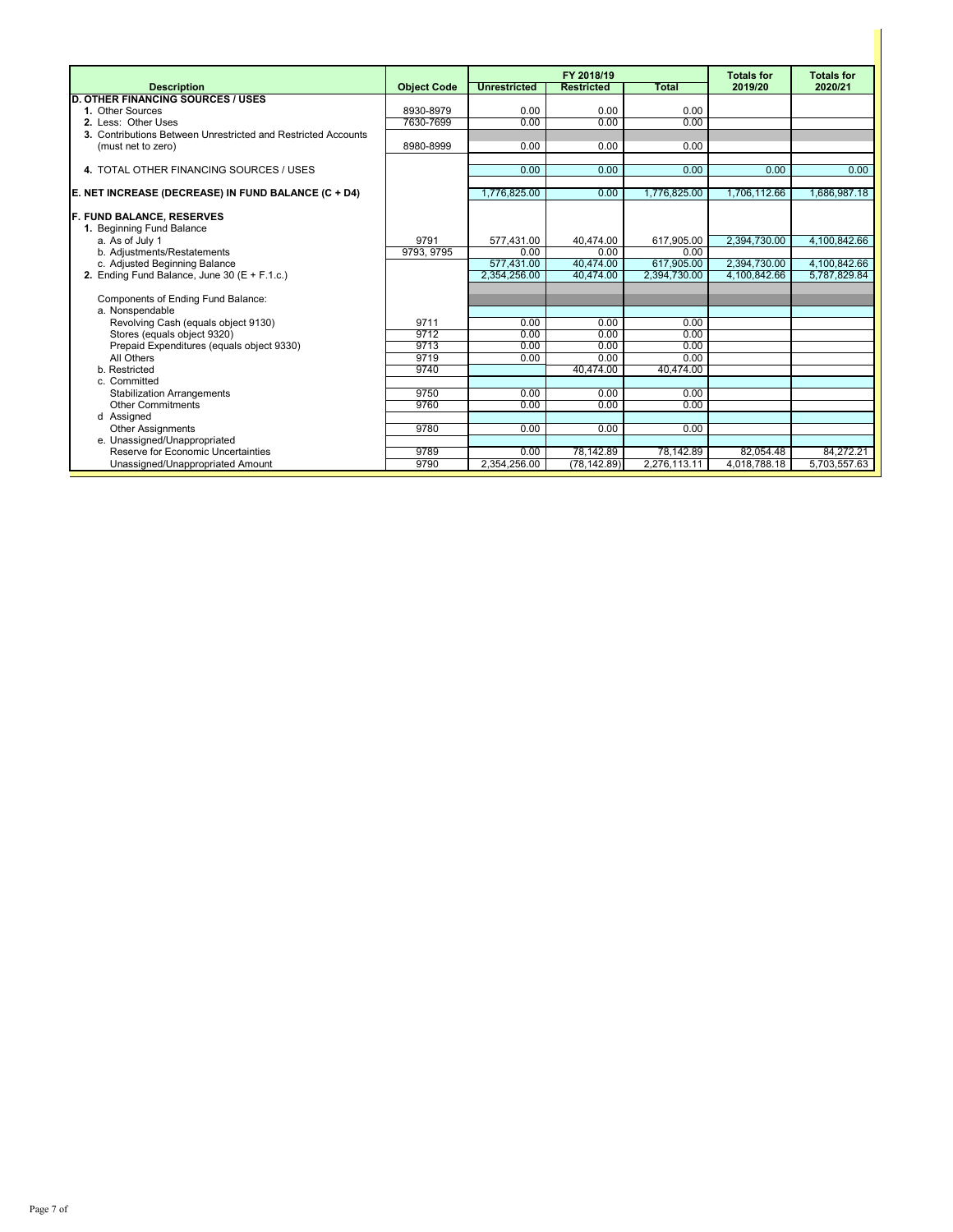|                                                                          |                    |                     | FY 2018/19        |              | <b>Totals for</b> | <b>Totals for</b> |
|--------------------------------------------------------------------------|--------------------|---------------------|-------------------|--------------|-------------------|-------------------|
| <b>Description</b>                                                       | <b>Object Code</b> | <b>Unrestricted</b> | <b>Restricted</b> | <b>Total</b> | 2019/20           | 2020/21           |
| <b>OTHER FINANCING SOURCES / USES</b>                                    |                    |                     |                   |              |                   |                   |
| 1. Other Sources                                                         | 8930-8979          | 0.00                | 0.00              | 0.00         |                   |                   |
| 2. Less: Other Uses                                                      | 7630-7699          | 0.00                | 0.00              | 0.00         |                   |                   |
| 3. Contributions Between Unrestricted and Restricted Accounts            |                    |                     |                   |              |                   |                   |
| (must net to zero)                                                       | 8980-8999          | 0.00                | 0.00              | 0.00         |                   |                   |
|                                                                          |                    |                     |                   |              |                   |                   |
| 4. TOTAL OTHER FINANCING SOURCES / USES                                  |                    | 0.00                | 0.00              | 0.00         | 0.00              | 0.00              |
| E. NET INCREASE (DECREASE) IN FUND BALANCE (C + D4)                      |                    | 1.776,825.00        | 0.00              | 1,776,825.00 | 1,706,112.66      | 1.686.987.18      |
| <b>F. FUND BALANCE, RESERVES</b>                                         |                    |                     |                   |              |                   |                   |
| 1. Beginning Fund Balance                                                |                    |                     |                   |              |                   |                   |
| a. As of July 1                                                          | 9791               | 577.431.00          | 40,474.00         | 617,905.00   | 2.394.730.00      | 4,100,842.66      |
| b. Adjustments/Restatements                                              | 9793, 9795         | 0.00                | 0.00              | 0.00         |                   |                   |
| c. Adjusted Beginning Balance                                            |                    | 577.431.00          | 40,474.00         | 617.905.00   | 2,394,730.00      | 4,100,842.66      |
| 2. Ending Fund Balance, June 30 ( $E + F.1.c.$ )                         |                    | 2,354,256.00        | 40.474.00         | 2,394,730.00 | 4,100,842.66      | 5,787,829.84      |
|                                                                          |                    |                     |                   |              |                   |                   |
| Components of Ending Fund Balance:                                       |                    |                     |                   |              |                   |                   |
| a. Nonspendable                                                          |                    |                     |                   |              |                   |                   |
| Revolving Cash (equals object 9130)                                      | 9711<br>9712       | 0.00<br>0.00        | 0.00<br>0.00      | 0.00<br>0.00 |                   |                   |
| Stores (equals object 9320)<br>Prepaid Expenditures (equals object 9330) | 9713               | 0.00                | 0.00              | 0.00         |                   |                   |
| All Others                                                               | 9719               | 0.00                | 0.00              | 0.00         |                   |                   |
| b. Restricted                                                            | 9740               |                     | 40,474.00         | 40,474.00    |                   |                   |
| c. Committed                                                             |                    |                     |                   |              |                   |                   |
| <b>Stabilization Arrangements</b>                                        | 9750               | 0.00                | 0.00              | 0.00         |                   |                   |
| <b>Other Commitments</b>                                                 | 9760               | 0.00                | 0.00              | 0.00         |                   |                   |
| d Assigned                                                               |                    |                     |                   |              |                   |                   |
| <b>Other Assignments</b>                                                 | 9780               | 0.00                | 0.00              | 0.00         |                   |                   |
| e. Unassigned/Unappropriated                                             |                    |                     |                   |              |                   |                   |
| Reserve for Economic Uncertainties                                       | 9789               | 0.00                | 78,142.89         | 78,142.89    | 82,054.48         | 84,272.21         |
| Unassigned/Unappropriated Amount                                         | 9790               | 2,354,256.00        | (78, 142.89)      | 2,276,113.11 | 4,018,788.18      | 5,703,557.63      |